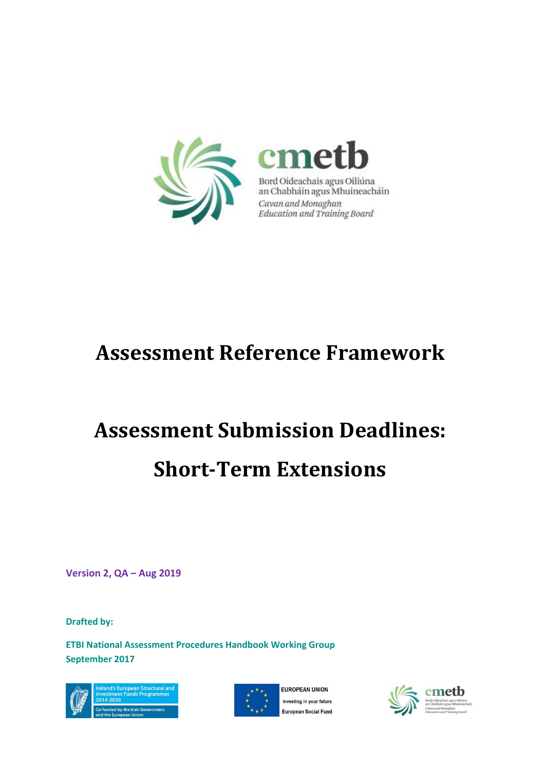

## **Assessment Reference Framework**

# **Assessment Submission Deadlines: Short-Term Extensions**

**Version 2, QA – Aug 2019**

**Drafted by:** 

**ETBI National Assessment Procedures Handbook Working Group September 2017**





FUROPEAN UNION Investing in your future **European Social Fund** 

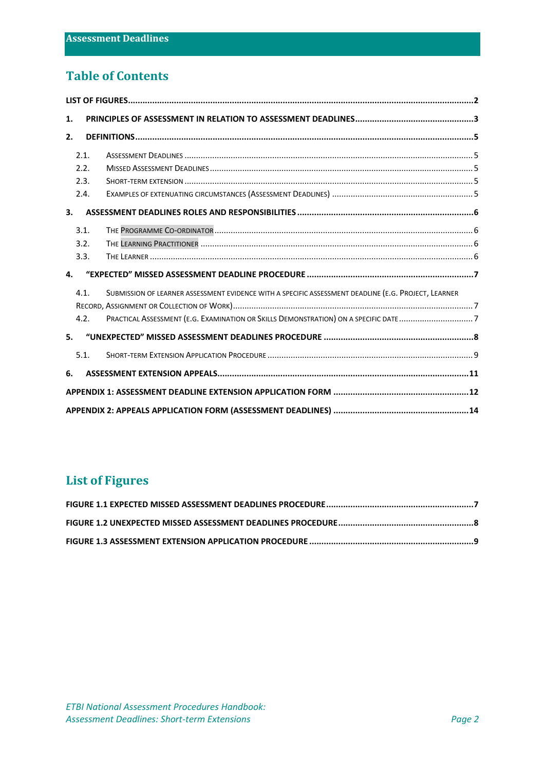## **Table of Contents**

| 1.   |                                                                                                      |  |
|------|------------------------------------------------------------------------------------------------------|--|
| 2.   |                                                                                                      |  |
| 2.1. |                                                                                                      |  |
| 2.2. |                                                                                                      |  |
| 2.3. |                                                                                                      |  |
| 2.4. |                                                                                                      |  |
| 3.   |                                                                                                      |  |
| 3.1. |                                                                                                      |  |
| 3.2. |                                                                                                      |  |
| 3.3. |                                                                                                      |  |
| 4.   |                                                                                                      |  |
| 4.1. | SUBMISSION OF LEARNER ASSESSMENT EVIDENCE WITH A SPECIFIC ASSESSMENT DEADLINE (E.G. PROJECT, LEARNER |  |
|      |                                                                                                      |  |
| 4.2. |                                                                                                      |  |
| 5.   |                                                                                                      |  |
| 5.1. |                                                                                                      |  |
| 6.   |                                                                                                      |  |
|      |                                                                                                      |  |
|      |                                                                                                      |  |

## <span id="page-1-0"></span>**List of Figures**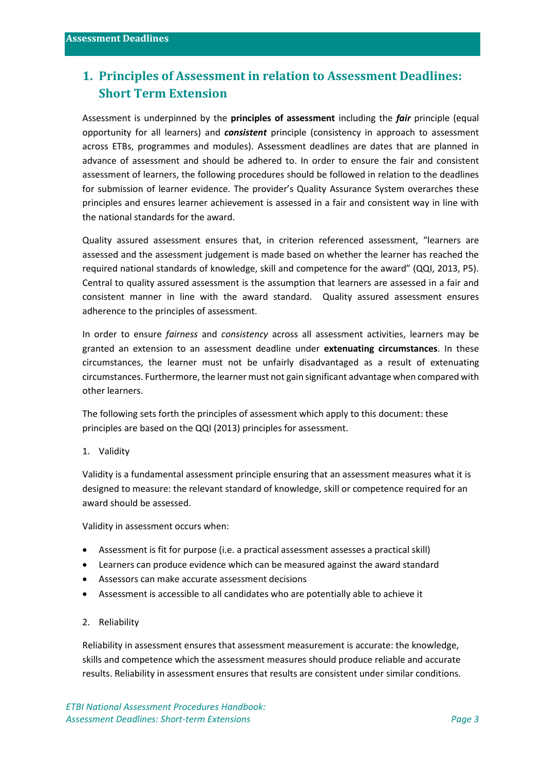## <span id="page-2-0"></span>**1. Principles of Assessment in relation to Assessment Deadlines: Short Term Extension**

Assessment is underpinned by the **principles of assessment** including the *fair* principle (equal opportunity for all learners) and *consistent* principle (consistency in approach to assessment across ETBs, programmes and modules). Assessment deadlines are dates that are planned in advance of assessment and should be adhered to. In order to ensure the fair and consistent assessment of learners, the following procedures should be followed in relation to the deadlines for submission of learner evidence. The provider's Quality Assurance System overarches these principles and ensures learner achievement is assessed in a fair and consistent way in line with the national standards for the award.

Quality assured assessment ensures that, in criterion referenced assessment, "learners are assessed and the assessment judgement is made based on whether the learner has reached the required national standards of knowledge, skill and competence for the award" (QQI, 2013, P5). Central to quality assured assessment is the assumption that learners are assessed in a fair and consistent manner in line with the award standard. Quality assured assessment ensures adherence to the principles of assessment.

In order to ensure *fairness* and *consistency* across all assessment activities, learners may be granted an extension to an assessment deadline under **extenuating circumstances**. In these circumstances, the learner must not be unfairly disadvantaged as a result of extenuating circumstances. Furthermore, the learner must not gain significant advantage when compared with other learners.

The following sets forth the principles of assessment which apply to this document: these principles are based on the QQI (2013) principles for assessment.

1. Validity

Validity is a fundamental assessment principle ensuring that an assessment measures what it is designed to measure: the relevant standard of knowledge, skill or competence required for an award should be assessed.

Validity in assessment occurs when:

- Assessment is fit for purpose (i.e. a practical assessment assesses a practical skill)
- Learners can produce evidence which can be measured against the award standard
- Assessors can make accurate assessment decisions
- Assessment is accessible to all candidates who are potentially able to achieve it
- 2. Reliability

Reliability in assessment ensures that assessment measurement is accurate: the knowledge, skills and competence which the assessment measures should produce reliable and accurate results. Reliability in assessment ensures that results are consistent under similar conditions.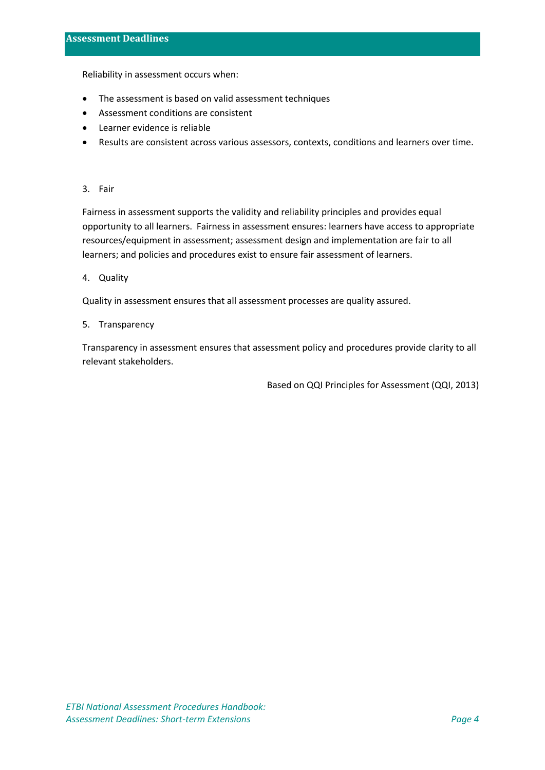Reliability in assessment occurs when:

- The assessment is based on valid assessment techniques
- Assessment conditions are consistent
- Learner evidence is reliable
- Results are consistent across various assessors, contexts, conditions and learners over time.

#### 3. Fair

Fairness in assessment supports the validity and reliability principles and provides equal opportunity to all learners. Fairness in assessment ensures: learners have access to appropriate resources/equipment in assessment; assessment design and implementation are fair to all learners; and policies and procedures exist to ensure fair assessment of learners.

4. Quality

Quality in assessment ensures that all assessment processes are quality assured.

5. Transparency

Transparency in assessment ensures that assessment policy and procedures provide clarity to all relevant stakeholders.

Based on QQI Principles for Assessment (QQI, 2013)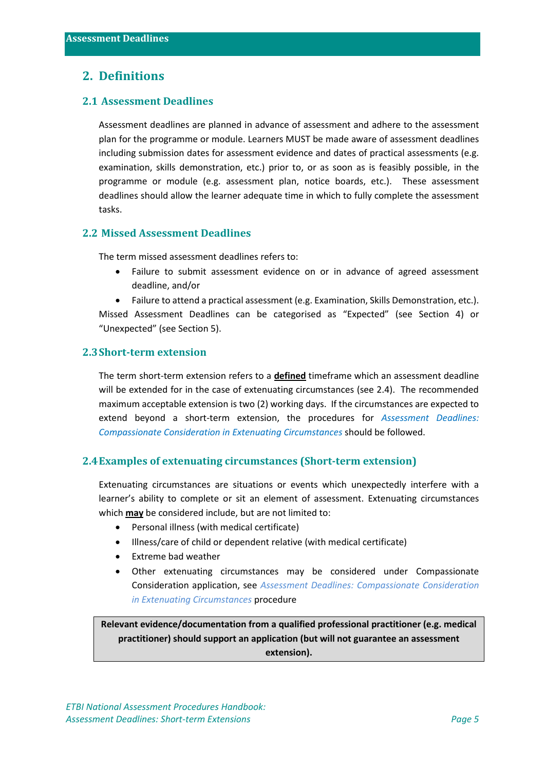#### <span id="page-4-0"></span>**2. Definitions**

#### <span id="page-4-1"></span>**2.1 Assessment Deadlines**

Assessment deadlines are planned in advance of assessment and adhere to the assessment plan for the programme or module. Learners MUST be made aware of assessment deadlines including submission dates for assessment evidence and dates of practical assessments (e.g. examination, skills demonstration, etc.) prior to, or as soon as is feasibly possible, in the programme or module (e.g. assessment plan, notice boards, etc.). These assessment deadlines should allow the learner adequate time in which to fully complete the assessment tasks.

#### <span id="page-4-2"></span>**2.2 Missed Assessment Deadlines**

The term missed assessment deadlines refers to:

• Failure to submit assessment evidence on or in advance of agreed assessment deadline, and/or

• Failure to attend a practical assessment (e.g. Examination, Skills Demonstration, etc.). Missed Assessment Deadlines can be categorised as "Expected" (see Section 4) or "Unexpected" (see Section 5).

#### <span id="page-4-3"></span>**2.3Short-term extension**

The term short-term extension refers to a **defined** timeframe which an assessment deadline will be extended for in the case of extenuating circumstances (see 2.4). The recommended maximum acceptable extension is two (2) working days. If the circumstances are expected to extend beyond a short-term extension, the procedures for *Assessment Deadlines: Compassionate Consideration in Extenuating Circumstances* should be followed.

#### <span id="page-4-4"></span>**2.4Examples of extenuating circumstances (Short-term extension)**

Extenuating circumstances are situations or events which unexpectedly interfere with a learner's ability to complete or sit an element of assessment. Extenuating circumstances which **may** be considered include, but are not limited to:

- Personal illness (with medical certificate)
- Illness/care of child or dependent relative (with medical certificate)
- Extreme bad weather
- Other extenuating circumstances may be considered under Compassionate Consideration application, see *Assessment Deadlines: Compassionate Consideration in Extenuating Circumstances* procedure

**Relevant evidence/documentation from a qualified professional practitioner (e.g. medical practitioner) should support an application (but will not guarantee an assessment extension).**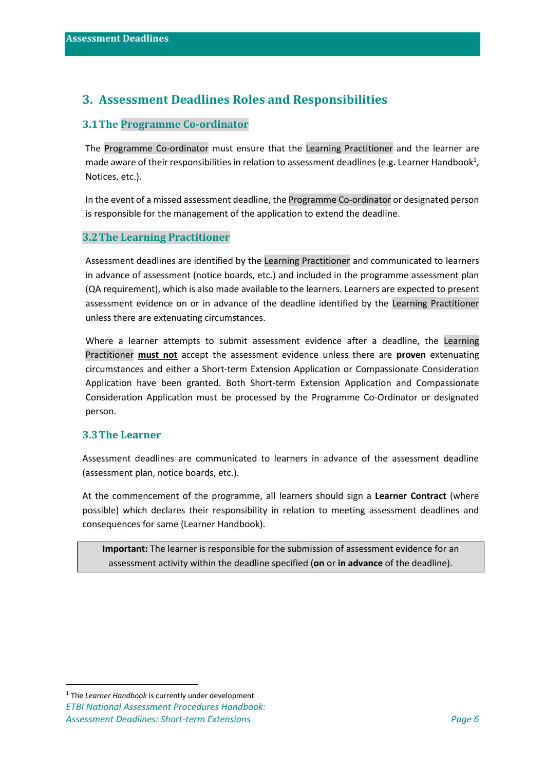## <span id="page-5-0"></span>**3. Assessment Deadlines Roles and Responsibilities**

#### <span id="page-5-1"></span>**3.1The Programme Co-ordinator**

The Programme Co-ordinator must ensure that the Learning Practitioner and the learner are made aware of their responsibilities in relation to assessment deadlines (e.g. Learner Handbook<sup>1</sup>, Notices, etc.).

In the event of a missed assessment deadline, the Programme Co-ordinator or designated person is responsible for the management of the application to extend the deadline.

#### <span id="page-5-2"></span>**3.2The Learning Practitioner**

Assessment deadlines are identified by the Learning Practitioner and communicated to learners in advance of assessment (notice boards, etc.) and included in the programme assessment plan (QA requirement), which is also made available to the learners. Learners are expected to present assessment evidence on or in advance of the deadline identified by the Learning Practitioner unless there are extenuating circumstances.

Where a learner attempts to submit assessment evidence after a deadline, the Learning Practitioner **must not** accept the assessment evidence unless there are **proven** extenuating circumstances and either a Short-term Extension Application or Compassionate Consideration Application have been granted. Both Short-term Extension Application and Compassionate Consideration Application must be processed by the Programme Co-Ordinator or designated person.

#### <span id="page-5-3"></span>**3.3The Learner**

Assessment deadlines are communicated to learners in advance of the assessment deadline (assessment plan, notice boards, etc.).

At the commencement of the programme, all learners should sign a **Learner Contract** (where possible) which declares their responsibility in relation to meeting assessment deadlines and consequences for same (Learner Handbook).

**Important:** The learner is responsible for the submission of assessment evidence for an assessment activity within the deadline specified (**on** or **in advance** of the deadline).

*ETBI National Assessment Procedures Handbook: Assessment Deadlines: Short-term Extensions Page 6* 1 The *Learner Handbook* is currently under development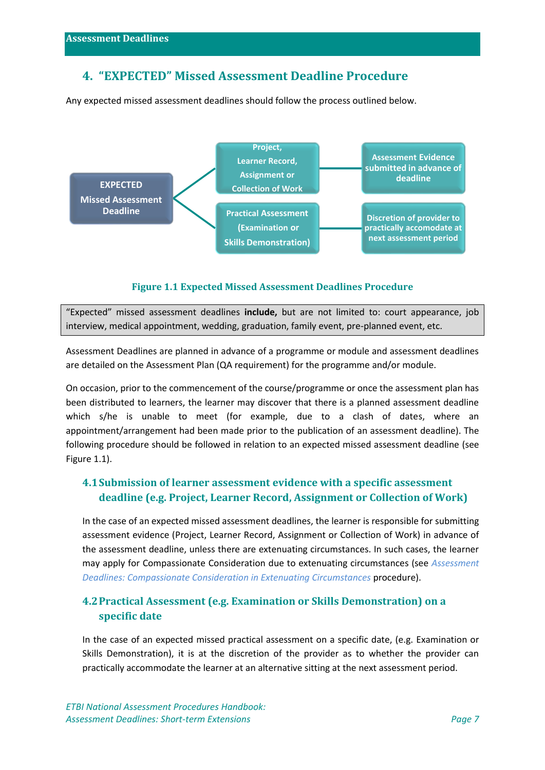## <span id="page-6-0"></span>**4. "EXPECTED" Missed Assessment Deadline Procedure**

Any expected missed assessment deadlines should follow the process outlined below.



#### **Figure 1.1 Expected Missed Assessment Deadlines Procedure**

<span id="page-6-3"></span>"Expected" missed assessment deadlines **include,** but are not limited to: court appearance, job interview, medical appointment, wedding, graduation, family event, pre-planned event, etc.

Assessment Deadlines are planned in advance of a programme or module and assessment deadlines are detailed on the Assessment Plan (QA requirement) for the programme and/or module.

On occasion, prior to the commencement of the course/programme or once the assessment plan has been distributed to learners, the learner may discover that there is a planned assessment deadline which s/he is unable to meet (for example, due to a clash of dates, where an appointment/arrangement had been made prior to the publication of an assessment deadline). The following procedure should be followed in relation to an expected missed assessment deadline (see Figure 1.1).

#### <span id="page-6-1"></span>**4.1Submission of learner assessment evidence with a specific assessment deadline (e.g. Project, Learner Record, Assignment or Collection of Work)**

In the case of an expected missed assessment deadlines, the learner is responsible for submitting assessment evidence (Project, Learner Record, Assignment or Collection of Work) in advance of the assessment deadline, unless there are extenuating circumstances. In such cases, the learner may apply for Compassionate Consideration due to extenuating circumstances (see *Assessment Deadlines: Compassionate Consideration in Extenuating Circumstances* procedure).

#### <span id="page-6-2"></span>**4.2Practical Assessment (e.g. Examination or Skills Demonstration) on a specific date**

In the case of an expected missed practical assessment on a specific date, (e.g. Examination or Skills Demonstration), it is at the discretion of the provider as to whether the provider can practically accommodate the learner at an alternative sitting at the next assessment period.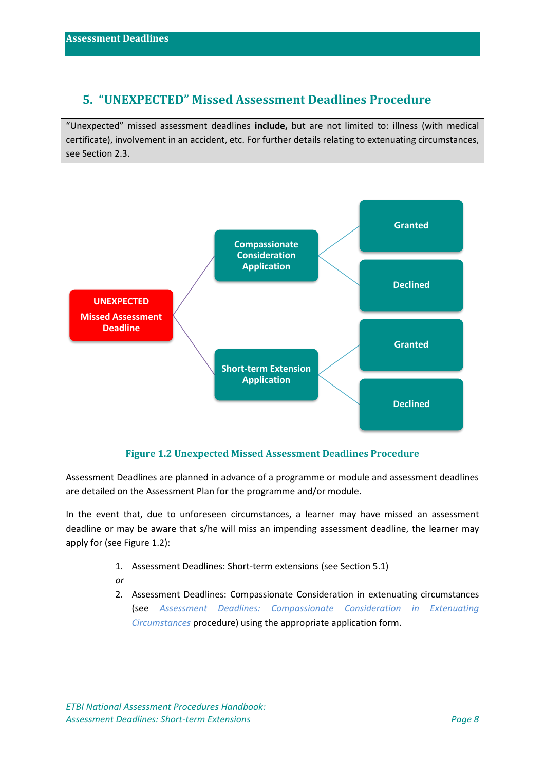## <span id="page-7-0"></span>**5. "UNEXPECTED" Missed Assessment Deadlines Procedure**

"Unexpected" missed assessment deadlines **include,** but are not limited to: illness (with medical certificate), involvement in an accident, etc. For further details relating to extenuating circumstances, see Section 2.3.



#### **Figure 1.2 Unexpected Missed Assessment Deadlines Procedure**

<span id="page-7-1"></span>Assessment Deadlines are planned in advance of a programme or module and assessment deadlines are detailed on the Assessment Plan for the programme and/or module.

In the event that, due to unforeseen circumstances, a learner may have missed an assessment deadline or may be aware that s/he will miss an impending assessment deadline, the learner may apply for (see Figure 1.2):

- 1. Assessment Deadlines: Short-term extensions (see Section 5.1)
- *or*
- 2. Assessment Deadlines: Compassionate Consideration in extenuating circumstances (see *Assessment Deadlines: Compassionate Consideration in Extenuating Circumstances* procedure) using the appropriate application form.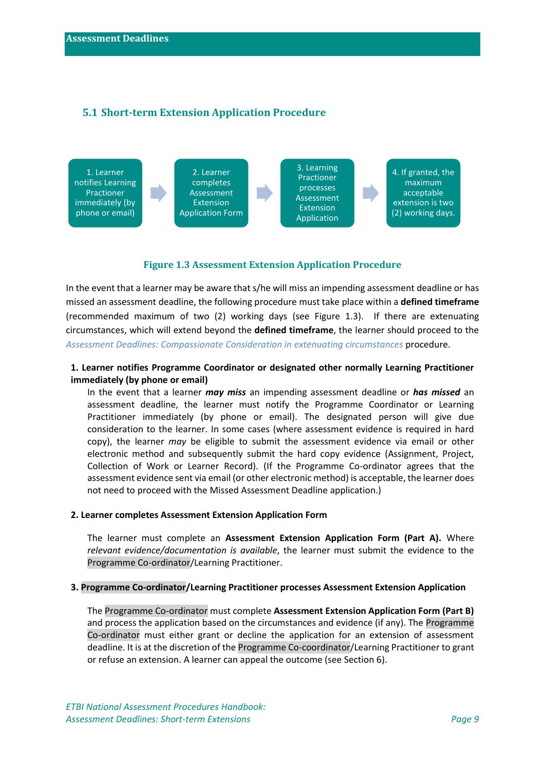#### <span id="page-8-0"></span>**5.1 Short-term Extension Application Procedure**



#### **Figure 1.3 Assessment Extension Application Procedure**

<span id="page-8-1"></span>In the event that a learner may be aware that s/he will miss an impending assessment deadline or has missed an assessment deadline, the following procedure must take place within a **defined timeframe** (recommended maximum of two (2) working days (see Figure 1.3). If there are extenuating circumstances, which will extend beyond the **defined timeframe**, the learner should proceed to the *Assessment Deadlines: Compassionate Consideration in extenuating circumstances* procedure.

#### **1. Learner notifies Programme Coordinator or designated other normally Learning Practitioner immediately (by phone or email)**

In the event that a learner *may miss* an impending assessment deadline or *has missed* an assessment deadline, the learner must notify the Programme Coordinator or Learning Practitioner immediately (by phone or email). The designated person will give due consideration to the learner. In some cases (where assessment evidence is required in hard copy), the learner *may* be eligible to submit the assessment evidence via email or other electronic method and subsequently submit the hard copy evidence (Assignment, Project, Collection of Work or Learner Record). (If the Programme Co-ordinator agrees that the assessment evidence sent via email (or other electronic method) is acceptable, the learner does not need to proceed with the Missed Assessment Deadline application.)

#### **2. Learner completes Assessment Extension Application Form**

The learner must complete an **Assessment Extension Application Form (Part A).** Where *relevant evidence/documentation is available*, the learner must submit the evidence to the Programme Co-ordinator/Learning Practitioner.

#### **3. Programme Co-ordinator/Learning Practitioner processes Assessment Extension Application**

The Programme Co-ordinator must complete **Assessment Extension Application Form (Part B)**  and process the application based on the circumstances and evidence (if any). The Programme Co-ordinator must either grant or decline the application for an extension of assessment deadline. It is at the discretion of the Programme Co-coordinator/Learning Practitioner to grant or refuse an extension. A learner can appeal the outcome (see Section 6).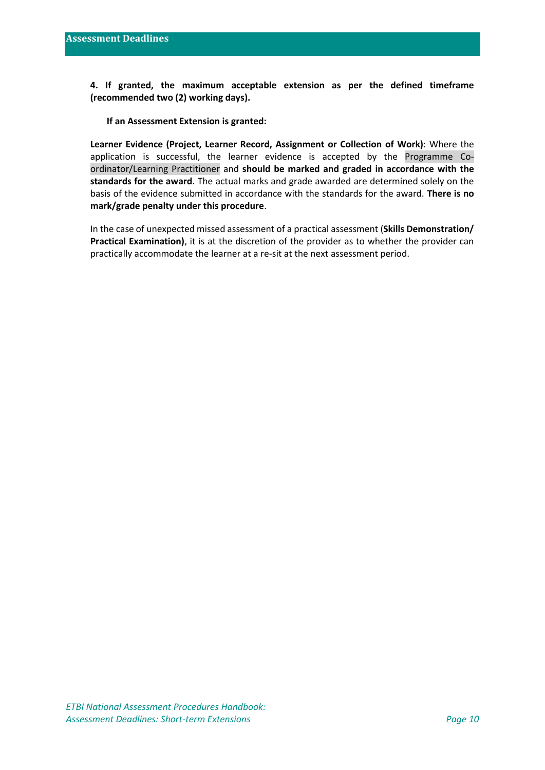**4. If granted, the maximum acceptable extension as per the defined timeframe (recommended two (2) working days).**

**If an Assessment Extension is granted:**

**Learner Evidence (Project, Learner Record, Assignment or Collection of Work)**: Where the application is successful, the learner evidence is accepted by the Programme Coordinator/Learning Practitioner and **should be marked and graded in accordance with the standards for the award**. The actual marks and grade awarded are determined solely on the basis of the evidence submitted in accordance with the standards for the award. **There is no mark/grade penalty under this procedure**.

In the case of unexpected missed assessment of a practical assessment (**Skills Demonstration/ Practical Examination)**, it is at the discretion of the provider as to whether the provider can practically accommodate the learner at a re-sit at the next assessment period.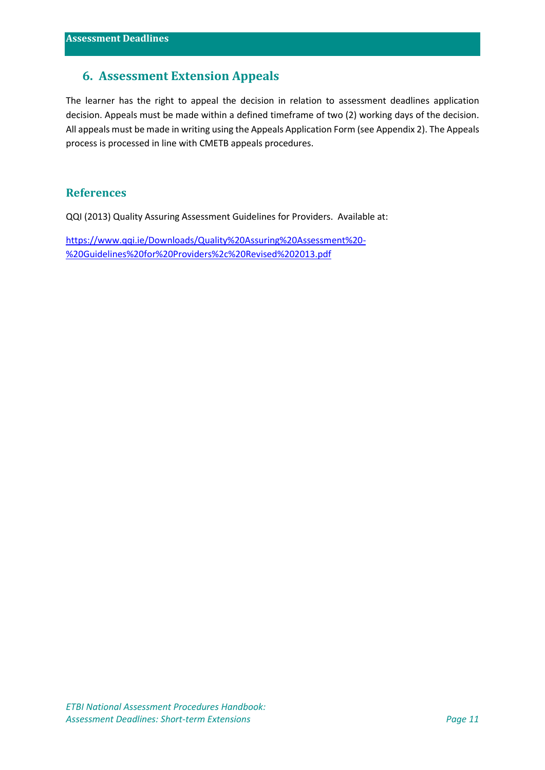## <span id="page-10-0"></span>**6. Assessment Extension Appeals**

The learner has the right to appeal the decision in relation to assessment deadlines application decision. Appeals must be made within a defined timeframe of two (2) working days of the decision. All appeals must be made in writing using the Appeals Application Form (see Appendix 2). The Appeals process is processed in line with CMETB appeals procedures.

#### **References**

QQI (2013) Quality Assuring Assessment Guidelines for Providers. Available at:

[https://www.qqi.ie/Downloads/Quality%20Assuring%20Assessment%20-](https://www.qqi.ie/Downloads/Quality%20Assuring%20Assessment%20-%20Guidelines%20for%20Providers%2c%20Revised%202013.pdf) [%20Guidelines%20for%20Providers%2c%20Revised%202013.pdf](https://www.qqi.ie/Downloads/Quality%20Assuring%20Assessment%20-%20Guidelines%20for%20Providers%2c%20Revised%202013.pdf)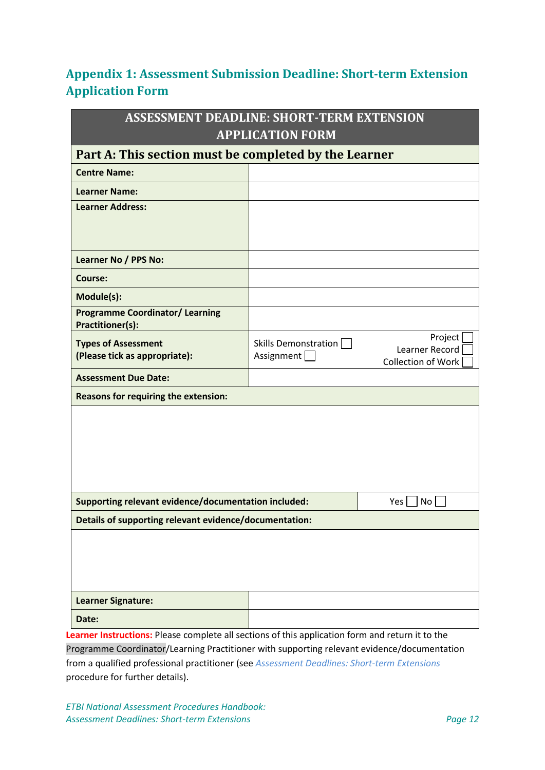## <span id="page-11-0"></span>**Appendix 1: Assessment Submission Deadline: Short-term Extension Application Form**

| <b>ASSESSMENT DEADLINE: SHORT-TERM EXTENSION</b>                                                 |                      |                           |
|--------------------------------------------------------------------------------------------------|----------------------|---------------------------|
| <b>APPLICATION FORM</b>                                                                          |                      |                           |
| Part A: This section must be completed by the Learner                                            |                      |                           |
| <b>Centre Name:</b>                                                                              |                      |                           |
| <b>Learner Name:</b>                                                                             |                      |                           |
| <b>Learner Address:</b>                                                                          |                      |                           |
|                                                                                                  |                      |                           |
|                                                                                                  |                      |                           |
| Learner No / PPS No:                                                                             |                      |                           |
| <b>Course:</b>                                                                                   |                      |                           |
| Module(s):                                                                                       |                      |                           |
| <b>Programme Coordinator/ Learning</b><br><b>Practitioner(s):</b>                                |                      |                           |
| <b>Types of Assessment</b>                                                                       | Skills Demonstration | Project<br>Learner Record |
| (Please tick as appropriate):                                                                    | Assignment           | Collection of Work        |
| <b>Assessment Due Date:</b>                                                                      |                      |                           |
| Reasons for requiring the extension:                                                             |                      |                           |
|                                                                                                  |                      |                           |
|                                                                                                  |                      |                           |
|                                                                                                  |                      |                           |
|                                                                                                  |                      |                           |
|                                                                                                  |                      |                           |
| Supporting relevant evidence/documentation included:<br>Yes  <br>No                              |                      |                           |
| Details of supporting relevant evidence/documentation:                                           |                      |                           |
|                                                                                                  |                      |                           |
|                                                                                                  |                      |                           |
|                                                                                                  |                      |                           |
| <b>Learner Signature:</b>                                                                        |                      |                           |
| Date:                                                                                            |                      |                           |
|                                                                                                  |                      |                           |
| Learner Instructions: Please complete all sections of this application form and return it to the |                      |                           |

Programme Coordinator/Learning Practitioner with supporting relevant evidence/documentation from a qualified professional practitioner (see *Assessment Deadlines: Short-term Extensions* procedure for further details).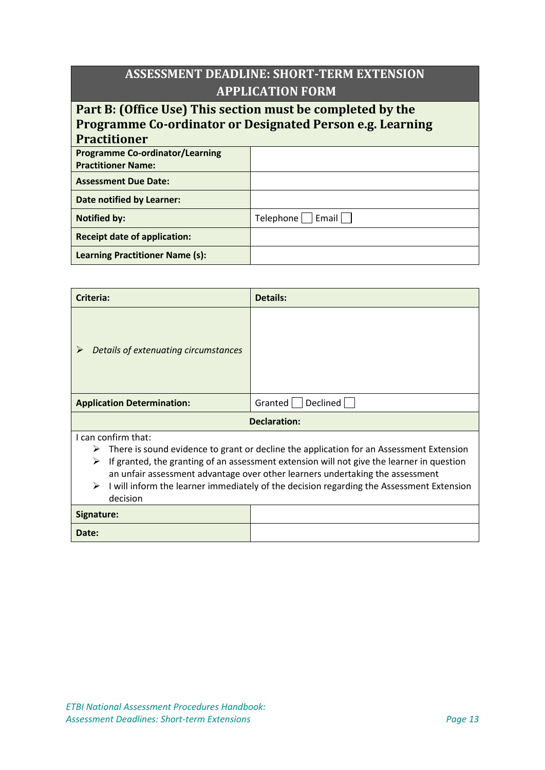## **ASSESSMENT DEADLINE: SHORT-TERM EXTENSION APPLICATION FORM**

## **Part B: (Office Use) This section must be completed by the Programme Co-ordinator or Designated Person e.g. Learning Practitioner**

| Pracuuoner                             |                           |
|----------------------------------------|---------------------------|
| <b>Programme Co-ordinator/Learning</b> |                           |
| <b>Practitioner Name:</b>              |                           |
| <b>Assessment Due Date:</b>            |                           |
| Date notified by Learner:              |                           |
| <b>Notified by:</b>                    | $Telephone$ $ $ Email $ $ |
| <b>Receipt date of application:</b>    |                           |
| <b>Learning Practitioner Name (s):</b> |                           |

| Criteria:                                                                                      | Details:                                                                                |  |
|------------------------------------------------------------------------------------------------|-----------------------------------------------------------------------------------------|--|
| Details of extenuating circumstances                                                           |                                                                                         |  |
| <b>Application Determination:</b>                                                              | Declined<br>Granted                                                                     |  |
| Declaration:                                                                                   |                                                                                         |  |
| I can confirm that:                                                                            |                                                                                         |  |
| ➤                                                                                              | There is sound evidence to grant or decline the application for an Assessment Extension |  |
| ⋗<br>If granted, the granting of an assessment extension will not give the learner in question |                                                                                         |  |
| an unfair assessment advantage over other learners undertaking the assessment                  |                                                                                         |  |
| I will inform the learner immediately of the decision regarding the Assessment Extension<br>➤  |                                                                                         |  |
| decision                                                                                       |                                                                                         |  |
| Signature:                                                                                     |                                                                                         |  |

| Signature: |  |
|------------|--|
| Date:      |  |